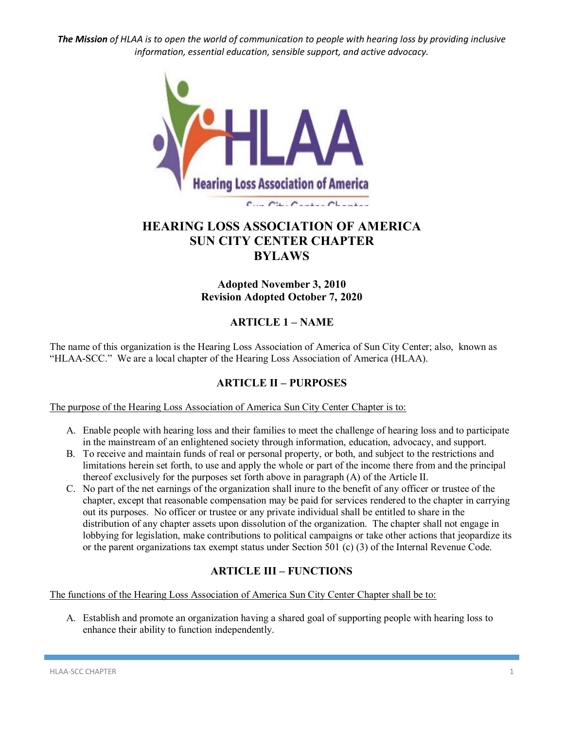

# **HEARING LOSS ASSOCIATION OF AMERICA SUN CITY CENTER CHAPTER BYLAWS**

## **Adopted November 3, 2010 Revision Adopted October 7, 2020**

## **ARTICLE 1 – NAME**

The name of this organization is the Hearing Loss Association of America of Sun City Center; also, known as "HLAA-SCC." We are a local chapter of the Hearing Loss Association of America (HLAA).

## **ARTICLE II – PURPOSES**

The purpose of the Hearing Loss Association of America Sun City Center Chapter is to:

- A. Enable people with hearing loss and their families to meet the challenge of hearing loss and to participate in the mainstream of an enlightened society through information, education, advocacy, and support.
- B. To receive and maintain funds of real or personal property, or both, and subject to the restrictions and limitations herein set forth, to use and apply the whole or part of the income there from and the principal thereof exclusively for the purposes set forth above in paragraph (A) of the Article II.
- C. No part of the net earnings of the organization shall inure to the benefit of any officer or trustee of the chapter, except that reasonable compensation may be paid for services rendered to the chapter in carrying out its purposes. No officer or trustee or any private individual shall be entitled to share in the distribution of any chapter assets upon dissolution of the organization. The chapter shall not engage in lobbying for legislation, make contributions to political campaigns or take other actions that jeopardize its or the parent organizations tax exempt status under Section 501 (c) (3) of the Internal Revenue Code.

## **ARTICLE III – FUNCTIONS**

The functions of the Hearing Loss Association of America Sun City Center Chapter shall be to:

A. Establish and promote an organization having a shared goal of supporting people with hearing loss to enhance their ability to function independently.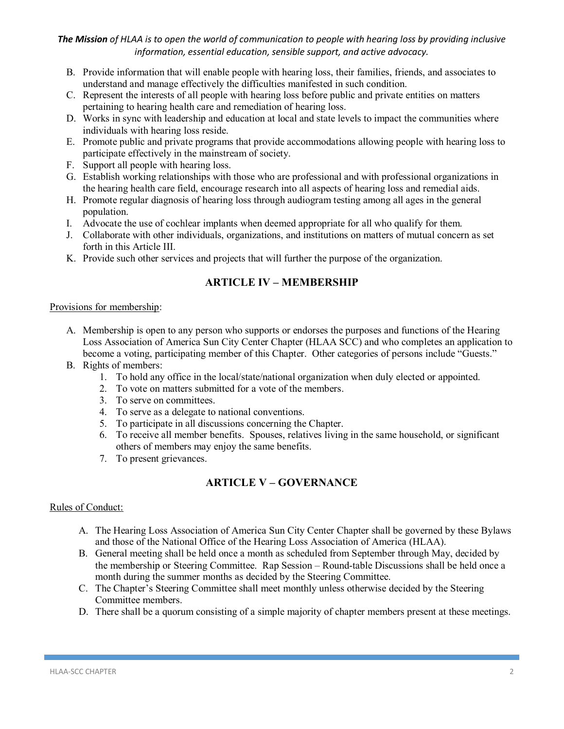- B. Provide information that will enable people with hearing loss, their families, friends, and associates to understand and manage effectively the difficulties manifested in such condition.
- C. Represent the interests of all people with hearing loss before public and private entities on matters pertaining to hearing health care and remediation of hearing loss.
- D. Works in sync with leadership and education at local and state levels to impact the communities where individuals with hearing loss reside.
- E. Promote public and private programs that provide accommodations allowing people with hearing loss to participate effectively in the mainstream of society.
- F. Support all people with hearing loss.
- G. Establish working relationships with those who are professional and with professional organizations in the hearing health care field, encourage research into all aspects of hearing loss and remedial aids.
- H. Promote regular diagnosis of hearing loss through audiogram testing among all ages in the general population.
- I. Advocate the use of cochlear implants when deemed appropriate for all who qualify for them.
- J. Collaborate with other individuals, organizations, and institutions on matters of mutual concern as set forth in this Article III.
- K. Provide such other services and projects that will further the purpose of the organization.

## **ARTICLE IV – MEMBERSHIP**

#### Provisions for membership:

- A. Membership is open to any person who supports or endorses the purposes and functions of the Hearing Loss Association of America Sun City Center Chapter (HLAA SCC) and who completes an application to become a voting, participating member of this Chapter. Other categories of persons include "Guests."
- B. Rights of members:
	- 1. To hold any office in the local/state/national organization when duly elected or appointed.
	- 2. To vote on matters submitted for a vote of the members.
	- 3. To serve on committees.
	- 4. To serve as a delegate to national conventions.
	- 5. To participate in all discussions concerning the Chapter.
	- 6. To receive all member benefits. Spouses, relatives living in the same household, or significant others of members may enjoy the same benefits.
	- 7. To present grievances.

## **ARTICLE V – GOVERNANCE**

### Rules of Conduct:

- A. The Hearing Loss Association of America Sun City Center Chapter shall be governed by these Bylaws and those of the National Office of the Hearing Loss Association of America (HLAA).
- B. General meeting shall be held once a month as scheduled from September through May, decided by the membership or Steering Committee. Rap Session – Round-table Discussions shall be held once a month during the summer months as decided by the Steering Committee.
- C. The Chapter's Steering Committee shall meet monthly unless otherwise decided by the Steering Committee members.
- D. There shall be a quorum consisting of a simple majority of chapter members present at these meetings.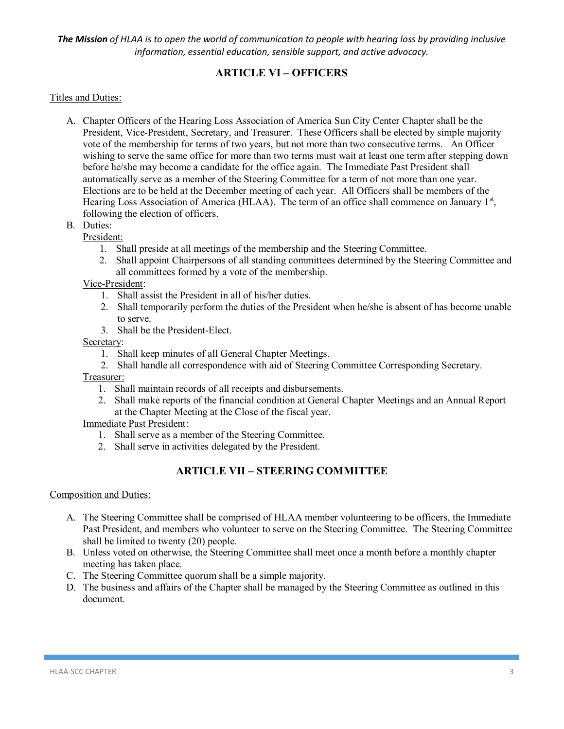## **ARTICLE VI – OFFICERS**

#### Titles and Duties:

- A. Chapter Officers of the Hearing Loss Association of America Sun City Center Chapter shall be the President, Vice-President, Secretary, and Treasurer. These Officers shall be elected by simple majority vote of the membership for terms of two years, but not more than two consecutive terms. An Officer wishing to serve the same office for more than two terms must wait at least one term after stepping down before he/she may become a candidate for the office again. The Immediate Past President shall automatically serve as a member of the Steering Committee for a term of not more than one year. Elections are to be held at the December meeting of each year. All Officers shall be members of the Hearing Loss Association of America (HLAA). The term of an office shall commence on January  $1<sup>st</sup>$ , following the election of officers.
- B. Duties:

President:

- 1. Shall preside at all meetings of the membership and the Steering Committee.
- 2. Shall appoint Chairpersons of all standing committees determined by the Steering Committee and all committees formed by a vote of the membership.

Vice-President:

- 1. Shall assist the President in all of his/her duties.
- 2. Shall temporarily perform the duties of the President when he/she is absent of has become unable to serve.
- 3. Shall be the President-Elect.

#### Secretary:

- 1. Shall keep minutes of all General Chapter Meetings.
- 2. Shall handle all correspondence with aid of Steering Committee Corresponding Secretary.

#### Treasurer:

- 1. Shall maintain records of all receipts and disbursements.
- 2. Shall make reports of the financial condition at General Chapter Meetings and an Annual Report at the Chapter Meeting at the Close of the fiscal year.

Immediate Past President:

- 1. Shall serve as a member of the Steering Committee.
- 2. Shall serve in activities delegated by the President.

## **ARTICLE VII – STEERING COMMITTEE**

#### Composition and Duties:

- A. The Steering Committee shall be comprised of HLAA member volunteering to be officers, the Immediate Past President, and members who volunteer to serve on the Steering Committee. The Steering Committee shall be limited to twenty (20) people.
- B. Unless voted on otherwise, the Steering Committee shall meet once a month before a monthly chapter meeting has taken place.
- C. The Steering Committee quorum shall be a simple majority.
- D. The business and affairs of the Chapter shall be managed by the Steering Committee as outlined in this document.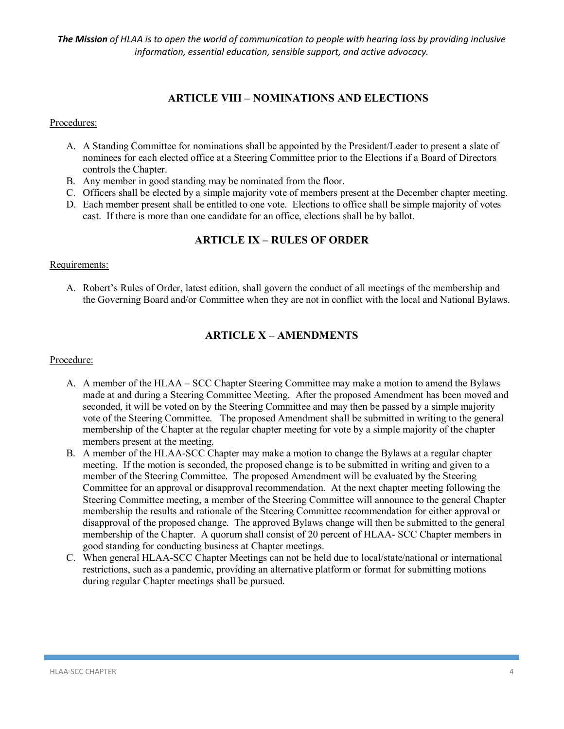## **ARTICLE VIII – NOMINATIONS AND ELECTIONS**

Procedures:

- A. A Standing Committee for nominations shall be appointed by the President/Leader to present a slate of nominees for each elected office at a Steering Committee prior to the Elections if a Board of Directors controls the Chapter.
- B. Any member in good standing may be nominated from the floor.
- C. Officers shall be elected by a simple majority vote of members present at the December chapter meeting.
- D. Each member present shall be entitled to one vote. Elections to office shall be simple majority of votes cast. If there is more than one candidate for an office, elections shall be by ballot.

## **ARTICLE IX – RULES OF ORDER**

#### Requirements:

A. Robert's Rules of Order, latest edition, shall govern the conduct of all meetings of the membership and the Governing Board and/or Committee when they are not in conflict with the local and National Bylaws.

## **ARTICLE X – AMENDMENTS**

#### Procedure:

- A. A member of the HLAA SCC Chapter Steering Committee may make a motion to amend the Bylaws made at and during a Steering Committee Meeting. After the proposed Amendment has been moved and seconded, it will be voted on by the Steering Committee and may then be passed by a simple majority vote of the Steering Committee. The proposed Amendment shall be submitted in writing to the general membership of the Chapter at the regular chapter meeting for vote by a simple majority of the chapter members present at the meeting.
- B. A member of the HLAA-SCC Chapter may make a motion to change the Bylaws at a regular chapter meeting. If the motion is seconded, the proposed change is to be submitted in writing and given to a member of the Steering Committee. The proposed Amendment will be evaluated by the Steering Committee for an approval or disapproval recommendation. At the next chapter meeting following the Steering Committee meeting, a member of the Steering Committee will announce to the general Chapter membership the results and rationale of the Steering Committee recommendation for either approval or disapproval of the proposed change. The approved Bylaws change will then be submitted to the general membership of the Chapter. A quorum shall consist of 20 percent of HLAA- SCC Chapter members in good standing for conducting business at Chapter meetings.
- C. When general HLAA-SCC Chapter Meetings can not be held due to local/state/national or international restrictions, such as a pandemic, providing an alternative platform or format for submitting motions during regular Chapter meetings shall be pursued.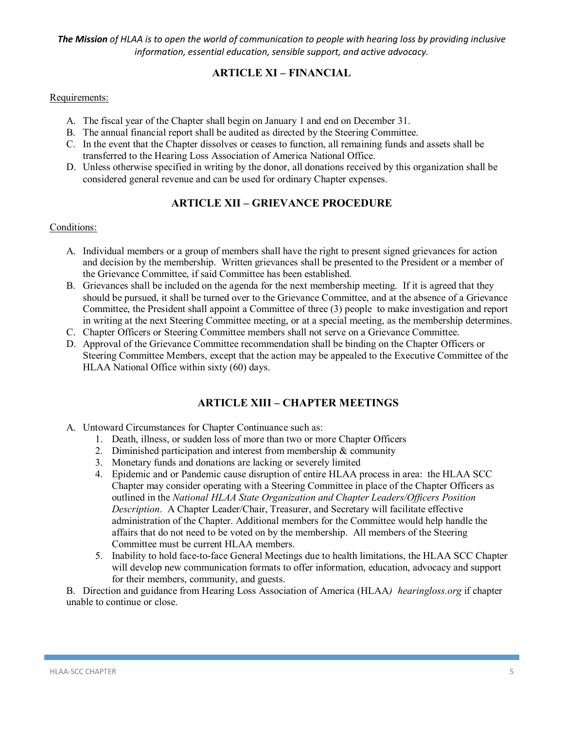## **ARTICLE XI – FINANCIAL**

#### Requirements:

- A. The fiscal year of the Chapter shall begin on January 1 and end on December 31.
- B. The annual financial report shall be audited as directed by the Steering Committee.
- C. In the event that the Chapter dissolves or ceases to function, all remaining funds and assets shall be transferred to the Hearing Loss Association of America National Office.
- D. Unless otherwise specified in writing by the donor, all donations received by this organization shall be considered general revenue and can be used for ordinary Chapter expenses.

### **ARTICLE XII – GRIEVANCE PROCEDURE**

#### Conditions:

- A. Individual members or a group of members shall have the right to present signed grievances for action and decision by the membership. Written grievances shall be presented to the President or a member of the Grievance Committee, if said Committee has been established.
- B. Grievances shall be included on the agenda for the next membership meeting. If it is agreed that they should be pursued, it shall be turned over to the Grievance Committee, and at the absence of a Grievance Committee, the President shall appoint a Committee of three (3) people to make investigation and report in writing at the next Steering Committee meeting, or at a special meeting, as the membership determines.
- C. Chapter Officers or Steering Committee members shall not serve on a Grievance Committee.
- D. Approval of the Grievance Committee recommendation shall be binding on the Chapter Officers or Steering Committee Members, except that the action may be appealed to the Executive Committee of the HLAA National Office within sixty (60) days.

### **ARTICLE XIII – CHAPTER MEETINGS**

- A. Untoward Circumstances for Chapter Continuance such as:
	- 1. Death, illness, or sudden loss of more than two or more Chapter Officers
	- 2. Diminished participation and interest from membership  $\&$  community
	- 3. Monetary funds and donations are lacking or severely limited
	- 4. Epidemic and or Pandemic cause disruption of entire HLAA process in area: the HLAA SCC Chapter may consider operating with a Steering Committee in place of the Chapter Officers as outlined in the *National HLAA State Organization and Chapter Leaders/Officers Position Description*. A Chapter Leader/Chair, Treasurer, and Secretary will facilitate effective administration of the Chapter. Additional members for the Committee would help handle the affairs that do not need to be voted on by the membership. All members of the Steering Committee must be current HLAA members.
	- 5. Inability to hold face-to-face General Meetings due to health limitations, the HLAA SCC Chapter will develop new communication formats to offer information, education, advocacy and support for their members, community, and guests.

B. Direction and guidance from Hearing Loss Association of America (HLAA*) hearingloss.org* if chapter unable to continue or close.